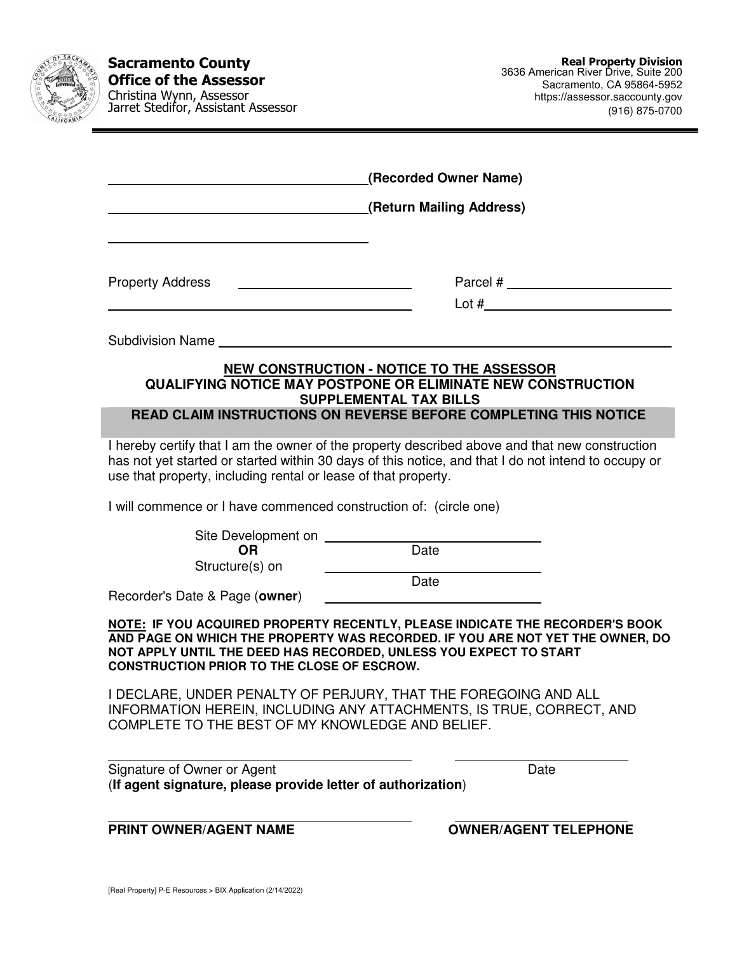| SACRAME |  |
|---------|--|
| CALIFOR |  |
|         |  |

**Sacramento County Office of the Assessor**  Christina Wynn, Assessor Jarret Stedifor, Assistant Assessor

| (Recorded Owner Name)                                                                                                                                                                                                                                                                   |
|-----------------------------------------------------------------------------------------------------------------------------------------------------------------------------------------------------------------------------------------------------------------------------------------|
| (Return Mailing Address)                                                                                                                                                                                                                                                                |
|                                                                                                                                                                                                                                                                                         |
| <b>Property Address</b><br><u> 1989 - Johann Barn, mars and de Branch Barn, mars and de Branch Barn, mars and de Branch Barn, mars and de Br</u>                                                                                                                                        |
| <u> 1989 - Johann Stein, marwolaethau a bhann an t-Amhair an t-Amhair an t-Amhair an t-Amhair an t-Amhair an t-A</u>                                                                                                                                                                    |
| Subdivision Name Name and Subdivision Name and Subdivision Name and Subdivision of the Subdivision of the Subdivision of the Subdivision of the Subdivision of the Subdivision of the Subdivision of the Subdivision of the Su                                                          |
| <b>NEW CONSTRUCTION - NOTICE TO THE ASSESSOR</b><br>QUALIFYING NOTICE MAY POSTPONE OR ELIMINATE NEW CONSTRUCTION                                                                                                                                                                        |
| <b>SUPPLEMENTAL TAX BILLS</b><br>READ CLAIM INSTRUCTIONS ON REVERSE BEFORE COMPLETING THIS NOTICE                                                                                                                                                                                       |
| I hereby certify that I am the owner of the property described above and that new construction<br>has not yet started or started within 30 days of this notice, and that I do not intend to occupy or<br>use that property, including rental or lease of that property.                 |
| I will commence or I have commenced construction of: (circle one)                                                                                                                                                                                                                       |
| Date<br><b>OR</b><br>Structure(s) on<br><u> 1989 - Johann Barn, mars ann an t-Amhain ann an t-A</u>                                                                                                                                                                                     |
| Date<br>Recorder's Date & Page (owner)<br><u> 1989 - Johann Barbara, martin amerikan basal da</u>                                                                                                                                                                                       |
| NOTE: IF YOU ACQUIRED PROPERTY RECENTLY, PLEASE INDICATE THE RECORDER'S BOOK<br>AND PAGE ON WHICH THE PROPERTY WAS RECORDED. IF YOU ARE NOT YET THE OWNER, DO<br>NOT APPLY UNTIL THE DEED HAS RECORDED, UNLESS YOU EXPECT TO START<br><b>CONSTRUCTION PRIOR TO THE CLOSE OF ESCROW.</b> |
| I DECLARE, UNDER PENALTY OF PERJURY, THAT THE FOREGOING AND ALL<br>INFORMATION HEREIN, INCLUDING ANY ATTACHMENTS, IS TRUE, CORRECT, AND<br>COMPLETE TO THE BEST OF MY KNOWLEDGE AND BELIEF.                                                                                             |
| Signature of Owner or Agent<br>Date<br>(If agent signature, please provide letter of authorization)                                                                                                                                                                                     |
| <b>OWNER/AGENT TELEPHONE</b><br><b>PRINT OWNER/AGENT NAME</b>                                                                                                                                                                                                                           |